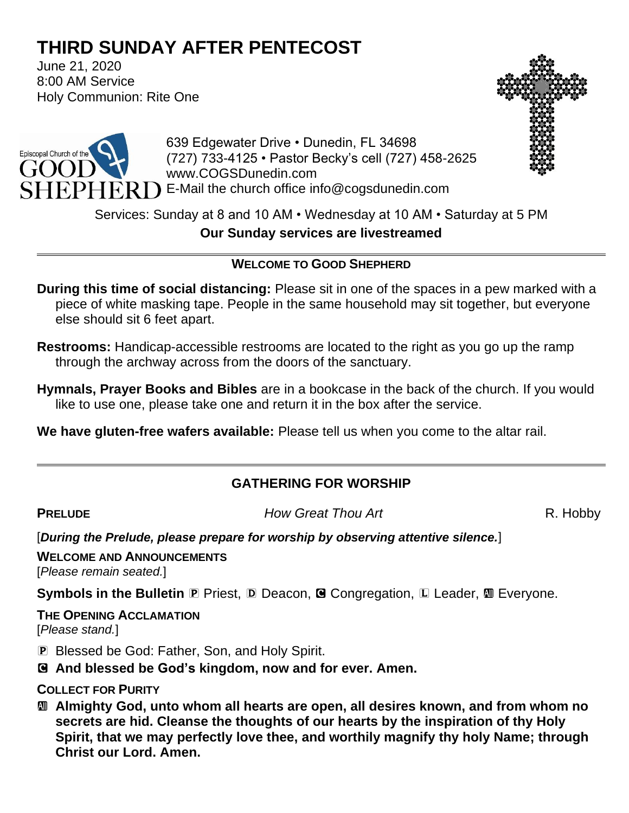# **THIRD SUNDAY AFTER PENTECOST**

June 21, 2020 8:00 AM Service Holy Communion: Rite One





639 Edgewater Drive • Dunedin, FL 34698 (727) 733-4125 • Pastor Becky's cell (727) 458-2625 www.COGSDunedin.com E-Mail the church office info@cogsdunedin.com

Services: Sunday at 8 and 10 AM • Wednesday at 10 AM • Saturday at 5 PM

**Our Sunday services are livestreamed**

## **WELCOME TO GOOD SHEPHERD**

- **During this time of social distancing:** Please sit in one of the spaces in a pew marked with a piece of white masking tape. People in the same household may sit together, but everyone else should sit 6 feet apart.
- **Restrooms:** Handicap-accessible restrooms are located to the right as you go up the ramp through the archway across from the doors of the sanctuary.
- **Hymnals, Prayer Books and Bibles** are in a bookcase in the back of the church. If you would like to use one, please take one and return it in the box after the service.

**We have gluten-free wafers available:** Please tell us when you come to the altar rail.

## **GATHERING FOR WORSHIP**

**PRELUDE** *How Great Thou Art* R. Hobby

[*During the Prelude, please prepare for worship by observing attentive silence.*]

**WELCOME AND ANNOUNCEMENTS** [*Please remain seated.*]

**Symbols in the Bulletin <b>P** Priest, **D** Deacon, **G** Congregation, **L** Leader, **M** Everyone.

**THE OPENING ACCLAMATION** [*Please stand.*]

- P Blessed be God: Father, Son, and Holy Spirit.
- C **And blessed be God's kingdom, now and for ever. Amen.**

**COLLECT FOR PURITY**

a **Almighty God, unto whom all hearts are open, all desires known, and from whom no secrets are hid. Cleanse the thoughts of our hearts by the inspiration of thy Holy Spirit, that we may perfectly love thee, and worthily magnify thy holy Name; through Christ our Lord. Amen.**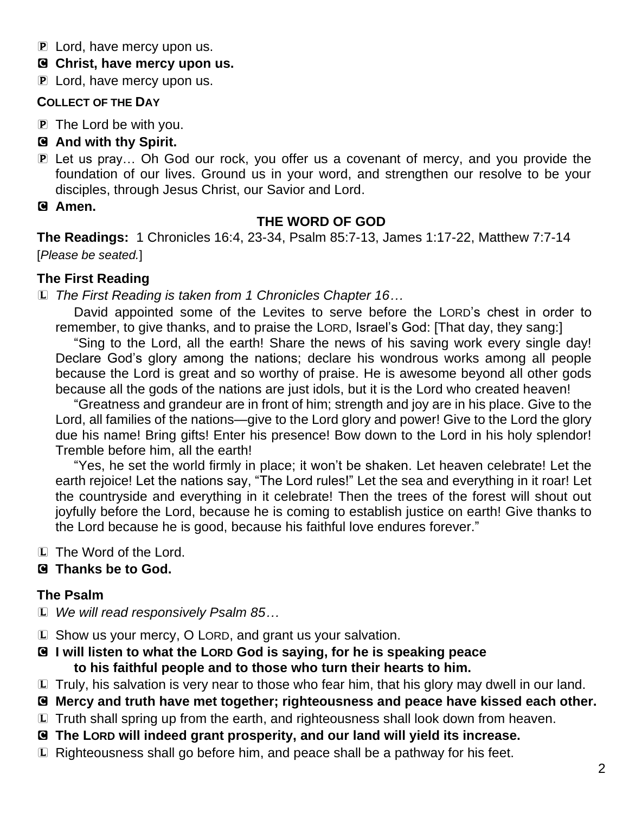- P Lord, have mercy upon us.
- C **Christ, have mercy upon us.**
- **P** Lord, have mercy upon us.

#### **COLLECT OF THE DAY**

P The Lord be with you.

## C **And with thy Spirit.**

- P Let us pray… Oh God our rock, you offer us a covenant of mercy, and you provide the foundation of our lives. Ground us in your word, and strengthen our resolve to be your disciples, through Jesus Christ, our Savior and Lord.
- C **Amen.**

## **THE WORD OF GOD**

**The Readings:** 1 Chronicles 16:4, 23-34, Psalm 85:7-13, James 1:17-22, Matthew 7:7-14 [*Please be seated.*]

## **The First Reading**

L *The First Reading is taken from 1 Chronicles Chapter 16…*

David appointed some of the Levites to serve before the LORD's chest in order to remember, to give thanks, and to praise the LORD, Israel's God: [That day, they sang:]

"Sing to the Lord, all the earth! Share the news of his saving work every single day! Declare God's glory among the nations; declare his wondrous works among all people because the Lord is great and so worthy of praise. He is awesome beyond all other gods because all the gods of the nations are just idols, but it is the Lord who created heaven!

"Greatness and grandeur are in front of him; strength and joy are in his place. Give to the Lord, all families of the nations—give to the Lord glory and power! Give to the Lord the glory due his name! Bring gifts! Enter his presence! Bow down to the Lord in his holy splendor! Tremble before him, all the earth!

"Yes, he set the world firmly in place; it won't be shaken. Let heaven celebrate! Let the earth rejoice! Let the nations say, "The Lord rules!" Let the sea and everything in it roar! Let the countryside and everything in it celebrate! Then the trees of the forest will shout out joyfully before the Lord, because he is coming to establish justice on earth! Give thanks to the Lord because he is good, because his faithful love endures forever."

L The Word of the Lord.

## C **Thanks be to God.**

## **The Psalm**

- L *We will read responsively Psalm 85…*
- L Show us your mercy, O LORD, and grant us your salvation.
- C **I will listen to what the LORD God is saying, for he is speaking peace to his faithful people and to those who turn their hearts to him.**
- L Truly, his salvation is very near to those who fear him, that his glory may dwell in our land.
- C **Mercy and truth have met together; righteousness and peace have kissed each other.**
- L Truth shall spring up from the earth, and righteousness shall look down from heaven.
- C **The LORD will indeed grant prosperity, and our land will yield its increase.**
- L Righteousness shall go before him, and peace shall be a pathway for his feet.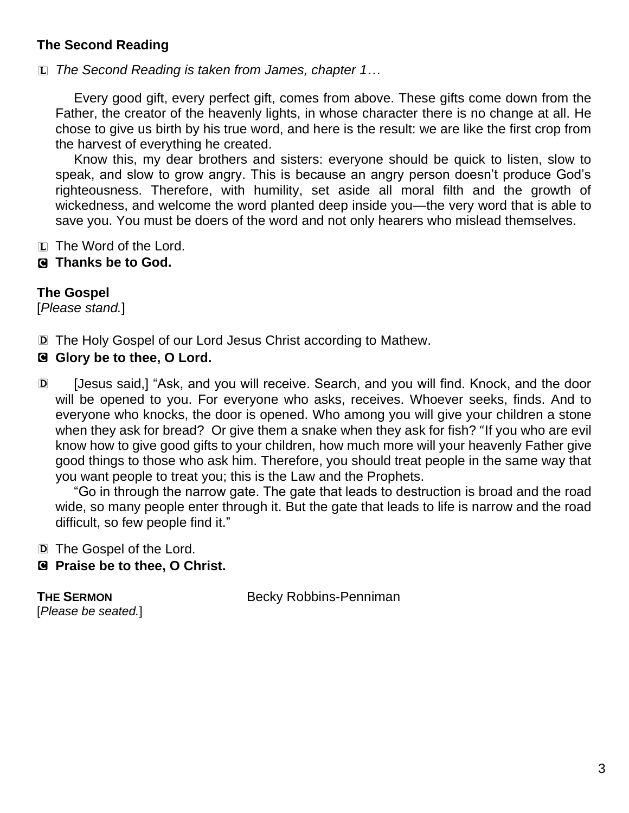## **The Second Reading**

L *The Second Reading is taken from James, chapter 1…*

Every good gift, every perfect gift, comes from above. These gifts come down from the Father, the creator of the heavenly lights, in whose character there is no change at all. He chose to give us birth by his true word, and here is the result: we are like the first crop from the harvest of everything he created.

Know this, my dear brothers and sisters: everyone should be quick to listen, slow to speak, and slow to grow angry. This is because an angry person doesn't produce God's righteousness. Therefore, with humility, set aside all moral filth and the growth of wickedness, and welcome the word planted deep inside you—the very word that is able to save you. You must be doers of the word and not only hearers who mislead themselves.

- L The Word of the Lord.
- C **Thanks be to God.**

## **The Gospel**

[*Please stand.*]

D The Holy Gospel of our Lord Jesus Christ according to Mathew.

## C **Glory be to thee, O Lord.**

D [Jesus said,] "Ask, and you will receive. Search, and you will find. Knock, and the door will be opened to you. For everyone who asks, receives. Whoever seeks, finds. And to everyone who knocks, the door is opened. Who among you will give your children a stone when they ask for bread? Or give them a snake when they ask for fish? "If you who are evil know how to give good gifts to your children, how much more will your heavenly Father give good things to those who ask him. Therefore, you should treat people in the same way that you want people to treat you; this is the Law and the Prophets.

"Go in through the narrow gate. The gate that leads to destruction is broad and the road wide, so many people enter through it. But the gate that leads to life is narrow and the road difficult, so few people find it."

D The Gospel of the Lord.

C **Praise be to thee, O Christ.**

[*Please be seated.*]

**THE SERMON** Becky Robbins-Penniman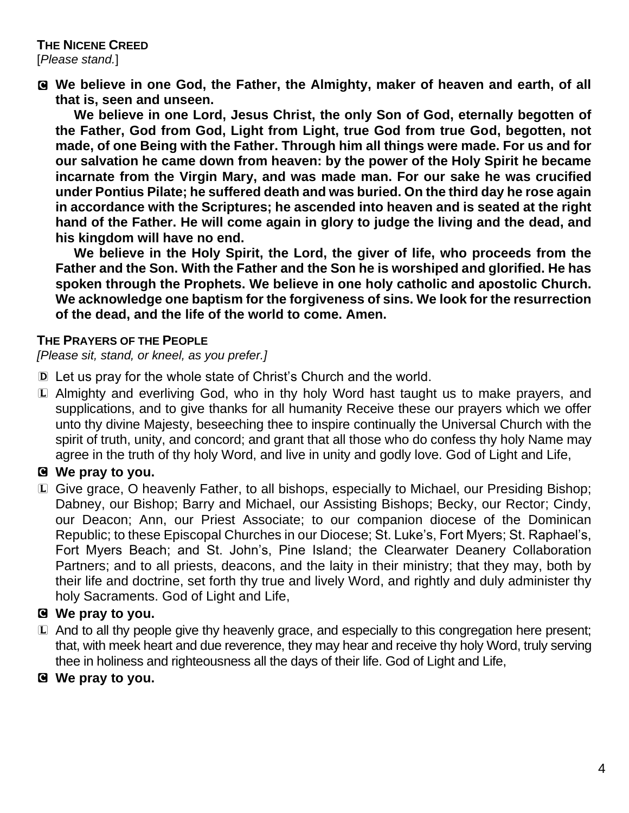C **We believe in one God, the Father, the Almighty, maker of heaven and earth, of all that is, seen and unseen.** 

**We believe in one Lord, Jesus Christ, the only Son of God, eternally begotten of the Father, God from God, Light from Light, true God from true God, begotten, not made, of one Being with the Father. Through him all things were made. For us and for our salvation he came down from heaven: by the power of the Holy Spirit he became incarnate from the Virgin Mary, and was made man. For our sake he was crucified under Pontius Pilate; he suffered death and was buried. On the third day he rose again in accordance with the Scriptures; he ascended into heaven and is seated at the right hand of the Father. He will come again in glory to judge the living and the dead, and his kingdom will have no end.**

**We believe in the Holy Spirit, the Lord, the giver of life, who proceeds from the Father and the Son. With the Father and the Son he is worshiped and glorified. He has spoken through the Prophets. We believe in one holy catholic and apostolic Church. We acknowledge one baptism for the forgiveness of sins. We look for the resurrection of the dead, and the life of the world to come. Amen.**

#### **THE PRAYERS OF THE PEOPLE**

*[Please sit, stand, or kneel, as you prefer.]*

- D Let us pray for the whole state of Christ's Church and the world.
- L Almighty and everliving God, who in thy holy Word hast taught us to make prayers, and supplications, and to give thanks for all humanity Receive these our prayers which we offer unto thy divine Majesty, beseeching thee to inspire continually the Universal Church with the spirit of truth, unity, and concord; and grant that all those who do confess thy holy Name may agree in the truth of thy holy Word, and live in unity and godly love. God of Light and Life,

#### C **We pray to you.**

L Give grace, O heavenly Father, to all bishops, especially to Michael, our Presiding Bishop; Dabney, our Bishop; Barry and Michael, our Assisting Bishops; Becky, our Rector; Cindy, our Deacon; Ann, our Priest Associate; to our companion diocese of the Dominican Republic; to these Episcopal Churches in our Diocese; St. Luke's, Fort Myers; St. Raphael's, Fort Myers Beach; and St. John's, Pine Island; the Clearwater Deanery Collaboration Partners; and to all priests, deacons, and the laity in their ministry; that they may, both by their life and doctrine, set forth thy true and lively Word, and rightly and duly administer thy holy Sacraments. God of Light and Life,

#### C **We pray to you.**

- L And to all thy people give thy heavenly grace, and especially to this congregation here present; that, with meek heart and due reverence, they may hear and receive thy holy Word, truly serving thee in holiness and righteousness all the days of their life. God of Light and Life,
- C **We pray to you.**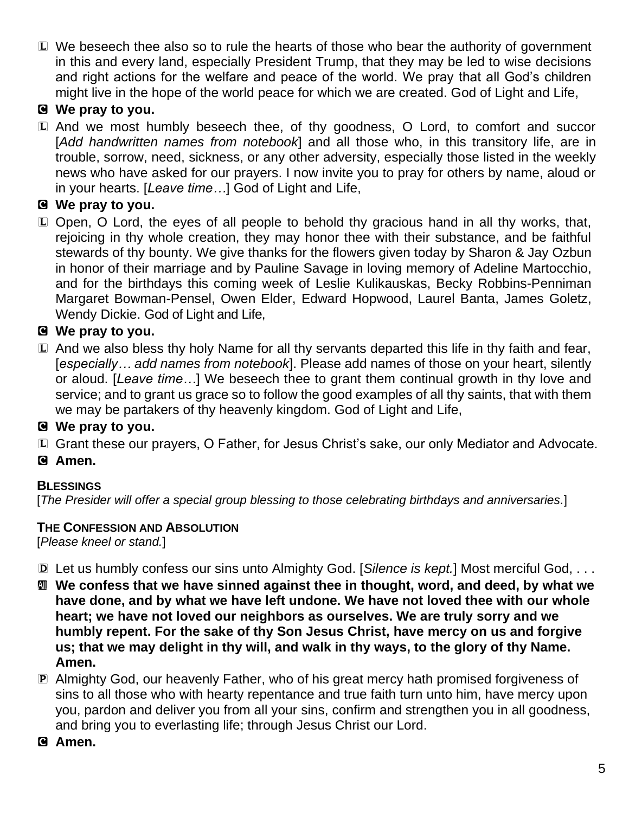L We beseech thee also so to rule the hearts of those who bear the authority of government in this and every land, especially President Trump, that they may be led to wise decisions and right actions for the welfare and peace of the world. We pray that all God's children might live in the hope of the world peace for which we are created. God of Light and Life,

## C **We pray to you.**

L And we most humbly beseech thee, of thy goodness, O Lord, to comfort and succor [*Add handwritten names from notebook*] and all those who, in this transitory life, are in trouble, sorrow, need, sickness, or any other adversity, especially those listed in the weekly news who have asked for our prayers. I now invite you to pray for others by name, aloud or in your hearts. [*Leave time…*] God of Light and Life,

## C **We pray to you.**

L Open, O Lord, the eyes of all people to behold thy gracious hand in all thy works, that, rejoicing in thy whole creation, they may honor thee with their substance, and be faithful stewards of thy bounty. We give thanks for the flowers given today by Sharon & Jay Ozbun in honor of their marriage and by Pauline Savage in loving memory of Adeline Martocchio, and for the birthdays this coming week of Leslie Kulikauskas, Becky Robbins-Penniman Margaret Bowman-Pensel, Owen Elder, Edward Hopwood, Laurel Banta, James Goletz, Wendy Dickie. God of Light and Life,

## C **We pray to you.**

L And we also bless thy holy Name for all thy servants departed this life in thy faith and fear, [*especially… add names from notebook*]. Please add names of those on your heart, silently or aloud. [*Leave time…*] We beseech thee to grant them continual growth in thy love and service; and to grant us grace so to follow the good examples of all thy saints, that with them we may be partakers of thy heavenly kingdom. God of Light and Life,

## C **We pray to you.**

L Grant these our prayers, O Father, for Jesus Christ's sake, our only Mediator and Advocate.

C **Amen.**

## **BLESSINGS**

[*The Presider will offer a special group blessing to those celebrating birthdays and anniversaries.*]

#### **THE CONFESSION AND ABSOLUTION**

[*Please kneel or stand.*]

- D Let us humbly confess our sins unto Almighty God. [*Silence is kept.*] Most merciful God, . . .
- a **We confess that we have sinned against thee in thought, word, and deed, by what we have done, and by what we have left undone. We have not loved thee with our whole heart; we have not loved our neighbors as ourselves. We are truly sorry and we humbly repent. For the sake of thy Son Jesus Christ, have mercy on us and forgive us; that we may delight in thy will, and walk in thy ways, to the glory of thy Name. Amen.**
- P Almighty God, our heavenly Father, who of his great mercy hath promised forgiveness of sins to all those who with hearty repentance and true faith turn unto him, have mercy upon you, pardon and deliver you from all your sins, confirm and strengthen you in all goodness, and bring you to everlasting life; through Jesus Christ our Lord.

#### C **Amen.**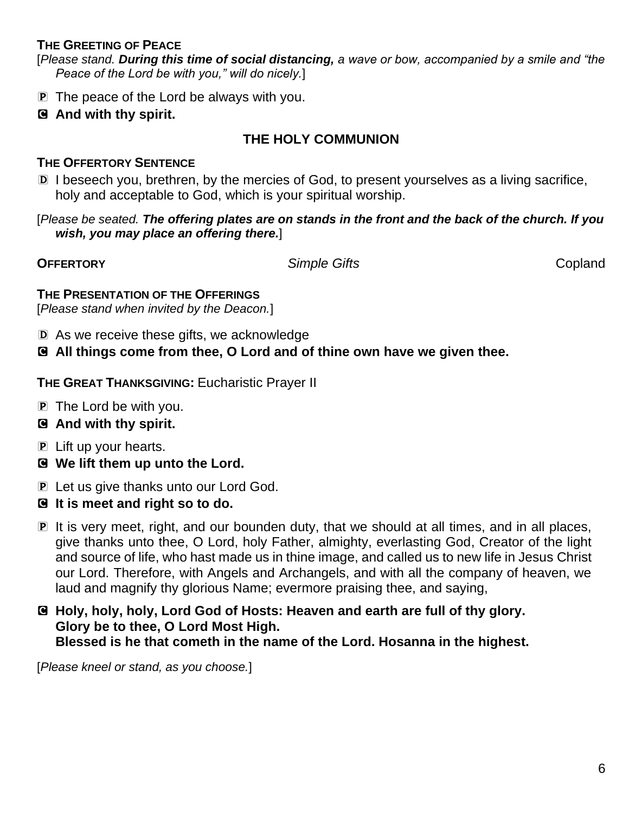#### **THE GREETING OF PEACE**

[*Please stand. During this time of social distancing, a wave or bow, accompanied by a smile and "the Peace of the Lord be with you," will do nicely.*]

- P The peace of the Lord be always with you.
- C **And with thy spirit.**

## **THE HOLY COMMUNION**

#### **THE OFFERTORY SENTENCE**

D I beseech you, brethren, by the mercies of God, to present yourselves as a living sacrifice, holy and acceptable to God, which is your spiritual worship.

[*Please be seated. The offering plates are on stands in the front and the back of the church. If you wish, you may place an offering there.*]

**OFFERTORY** *Simple Gifts* Copland

**THE PRESENTATION OF THE OFFERINGS**

[*Please stand when invited by the Deacon.*]

- D As we receive these gifts, we acknowledge
- C **All things come from thee, O Lord and of thine own have we given thee.**

**THE GREAT THANKSGIVING:** Eucharistic Prayer II

- P The Lord be with you.
- C **And with thy spirit.**
- P Lift up your hearts.
- C **We lift them up unto the Lord.**
- P Let us give thanks unto our Lord God.
- C **It is meet and right so to do.**
- P It is very meet, right, and our bounden duty, that we should at all times, and in all places, give thanks unto thee, O Lord, holy Father, almighty, everlasting God, Creator of the light and source of life, who hast made us in thine image, and called us to new life in Jesus Christ our Lord. Therefore, with Angels and Archangels, and with all the company of heaven, we laud and magnify thy glorious Name; evermore praising thee, and saying,
- C **Holy, holy, holy, Lord God of Hosts: Heaven and earth are full of thy glory. Glory be to thee, O Lord Most High. Blessed is he that cometh in the name of the Lord. Hosanna in the highest.**

[*Please kneel or stand, as you choose.*]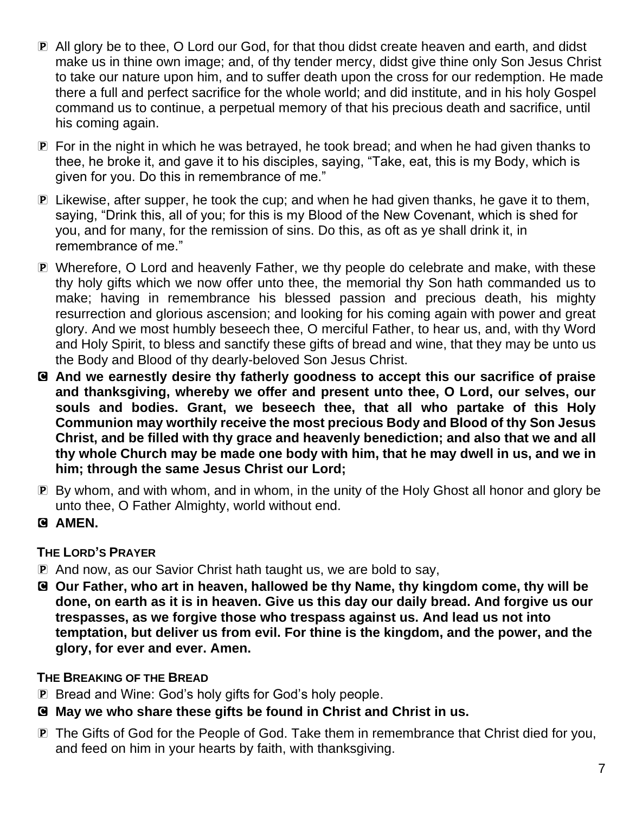- P All glory be to thee, O Lord our God, for that thou didst create heaven and earth, and didst make us in thine own image; and, of thy tender mercy, didst give thine only Son Jesus Christ to take our nature upon him, and to suffer death upon the cross for our redemption. He made there a full and perfect sacrifice for the whole world; and did institute, and in his holy Gospel command us to continue, a perpetual memory of that his precious death and sacrifice, until his coming again.
- P For in the night in which he was betrayed, he took bread; and when he had given thanks to thee, he broke it, and gave it to his disciples, saying, "Take, eat, this is my Body, which is given for you. Do this in remembrance of me."
- P Likewise, after supper, he took the cup; and when he had given thanks, he gave it to them, saying, "Drink this, all of you; for this is my Blood of the New Covenant, which is shed for you, and for many, for the remission of sins. Do this, as oft as ye shall drink it, in remembrance of me."
- P Wherefore, O Lord and heavenly Father, we thy people do celebrate and make, with these thy holy gifts which we now offer unto thee, the memorial thy Son hath commanded us to make; having in remembrance his blessed passion and precious death, his mighty resurrection and glorious ascension; and looking for his coming again with power and great glory. And we most humbly beseech thee, O merciful Father, to hear us, and, with thy Word and Holy Spirit, to bless and sanctify these gifts of bread and wine, that they may be unto us the Body and Blood of thy dearly-beloved Son Jesus Christ.
- C **And we earnestly desire thy fatherly goodness to accept this our sacrifice of praise and thanksgiving, whereby we offer and present unto thee, O Lord, our selves, our souls and bodies. Grant, we beseech thee, that all who partake of this Holy Communion may worthily receive the most precious Body and Blood of thy Son Jesus Christ, and be filled with thy grace and heavenly benediction; and also that we and all thy whole Church may be made one body with him, that he may dwell in us, and we in him; through the same Jesus Christ our Lord;**
- P By whom, and with whom, and in whom, in the unity of the Holy Ghost all honor and glory be unto thee, O Father Almighty, world without end.
- C **AMEN.**

## **THE LORD'S PRAYER**

- P And now, as our Savior Christ hath taught us, we are bold to say,
- C **Our Father, who art in heaven, hallowed be thy Name, thy kingdom come, thy will be done, on earth as it is in heaven. Give us this day our daily bread. And forgive us our trespasses, as we forgive those who trespass against us. And lead us not into temptation, but deliver us from evil. For thine is the kingdom, and the power, and the glory, for ever and ever. Amen.**

## **THE BREAKING OF THE BREAD**

- P Bread and Wine: God's holy gifts for God's holy people.
- C **May we who share these gifts be found in Christ and Christ in us.**
- P The Gifts of God for the People of God. Take them in remembrance that Christ died for you, and feed on him in your hearts by faith, with thanksgiving.